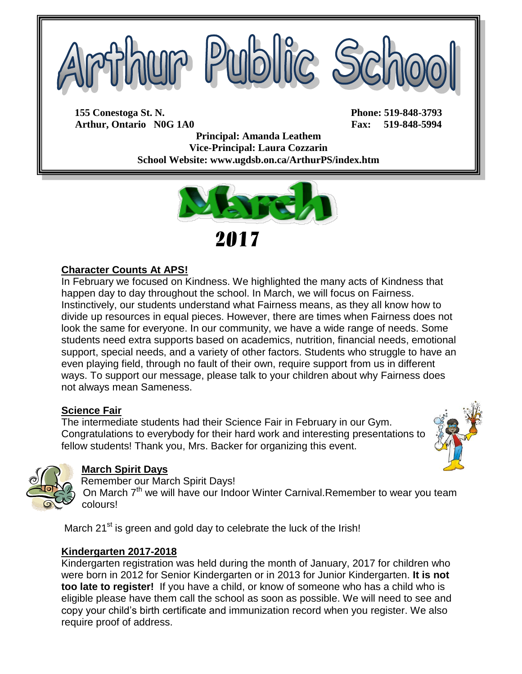

**155 Conestoga St. N. Phone: 519-848-3793 Arthur, Ontario N0G 1A0 Fax: 519-848-5994**

**Principal: Amanda Leathem Vice-Principal: Laura Cozzarin School Website: www.ugdsb.on.ca/ArthurPS/index.htm**



## **Character Counts At APS!**

In February we focused on Kindness. We highlighted the many acts of Kindness that happen day to day throughout the school. In March, we will focus on Fairness. Instinctively, our students understand what Fairness means, as they all know how to divide up resources in equal pieces. However, there are times when Fairness does not look the same for everyone. In our community, we have a wide range of needs. Some students need extra supports based on academics, nutrition, financial needs, emotional support, special needs, and a variety of other factors. Students who struggle to have an even playing field, through no fault of their own, require support from us in different ways. To support our message, please talk to your children about why Fairness does not always mean Sameness.

## **Science Fair**

The intermediate students had their Science Fair in February in our Gym. Congratulations to everybody for their hard work and interesting presentations to fellow students! Thank you, Mrs. Backer for organizing this event.





#### **March Spirit Days**

Remember our March Spirit Days!

On March 7<sup>th</sup> we will have our Indoor Winter Carnival.Remember to wear you team colours!

March 21<sup>st</sup> is green and gold day to celebrate the luck of the Irish!

#### **Kindergarten 2017-2018**

Kindergarten registration was held during the month of January, 2017 for children who were born in 2012 for Senior Kindergarten or in 2013 for Junior Kindergarten. **It is not too late to register!** If you have a child, or know of someone who has a child who is eligible please have them call the school as soon as possible. We will need to see and copy your child's birth certificate and immunization record when you register. We also require proof of address.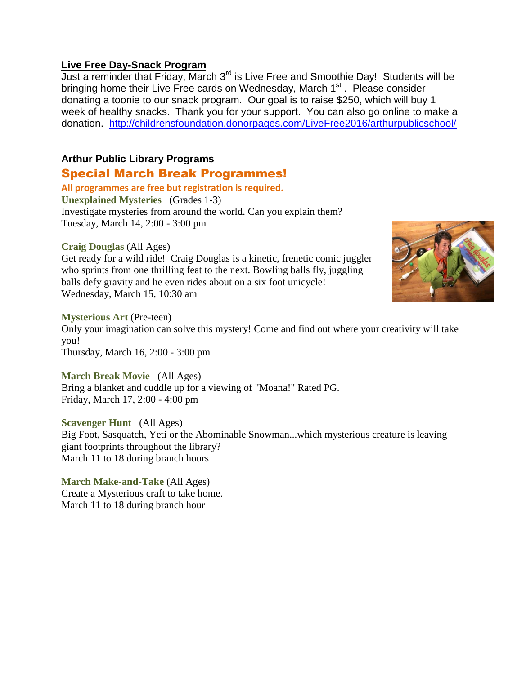#### **Live Free Day-Snack Program**

Just a reminder that Friday, March 3<sup>rd</sup> is Live Free and Smoothie Day! Students will be bringing home their Live Free cards on Wednesday, March 1<sup>st</sup>. Please consider donating a toonie to our snack program. Our goal is to raise \$250, which will buy 1 week of healthy snacks. Thank you for your support. You can also go online to make a donation. <http://childrensfoundation.donorpages.com/LiveFree2016/arthurpublicschool/>

## **Arthur Public Library Programs**

## Special March Break Programmes!

**All programmes are free but registration is required. Unexplained Mysteries** (Grades 1-3) Investigate mysteries from around the world. Can you explain them? Tuesday, March 14, 2:00 - 3:00 pm

#### **Craig Douglas** (All Ages)

Get ready for a wild ride! Craig Douglas is a kinetic, frenetic comic juggler who sprints from one thrilling feat to the next. Bowling balls fly, juggling balls defy gravity and he even rides about on a six foot unicycle! Wednesday, March 15, 10:30 am



#### **Mysterious Art** (Pre-teen)

Only your imagination can solve this mystery! Come and find out where your creativity will take you!

Thursday, March 16, 2:00 - 3:00 pm

**March Break Movie** (All Ages) Bring a blanket and cuddle up for a viewing of "Moana!" Rated PG. Friday, March 17, 2:00 - 4:00 pm

**Scavenger Hunt** (All Ages) Big Foot, Sasquatch, Yeti or the Abominable Snowman...which mysterious creature is leaving giant footprints throughout the library? March 11 to 18 during branch hours

**March Make-and-Take** (All Ages) Create a Mysterious craft to take home. March 11 to 18 during branch hour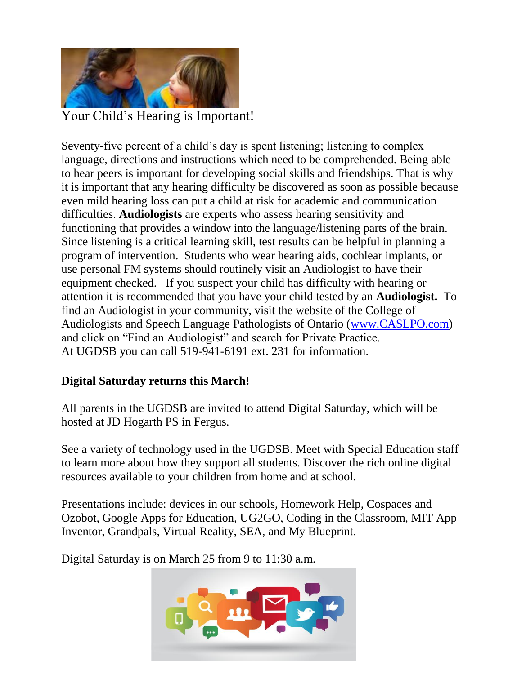

Your Child's Hearing is Important!

Seventy-five percent of a child's day is spent listening; listening to complex language, directions and instructions which need to be comprehended. Being able to hear peers is important for developing social skills and friendships. That is why it is important that any hearing difficulty be discovered as soon as possible because even mild hearing loss can put a child at risk for academic and communication difficulties. **Audiologists** are experts who assess hearing sensitivity and functioning that provides a window into the language/listening parts of the brain. Since listening is a critical learning skill, test results can be helpful in planning a program of intervention. Students who wear hearing aids, cochlear implants, or use personal FM systems should routinely visit an Audiologist to have their equipment checked. If you suspect your child has difficulty with hearing or attention it is recommended that you have your child tested by an **Audiologist.** To find an Audiologist in your community, visit the website of the College of Audiologists and Speech Language Pathologists of Ontario [\(www.CASLPO.com\)](http://www.caslpo.com/) and click on "Find an Audiologist" and search for Private Practice. At UGDSB you can call 519-941-6191 ext. 231 for information.

# **Digital Saturday returns this March!**

All parents in the UGDSB are invited to attend Digital Saturday, which will be hosted at JD Hogarth PS in Fergus.

See a variety of technology used in the UGDSB. Meet with Special Education staff to learn more about how they support all students. Discover the rich online digital resources available to your children from home and at school.

Presentations include: devices in our schools, Homework Help, Cospaces and Ozobot, Google Apps for Education, UG2GO, Coding in the Classroom, MIT App Inventor, Grandpals, Virtual Reality, SEA, and My Blueprint.

Digital Saturday is on March 25 from 9 to 11:30 a.m.